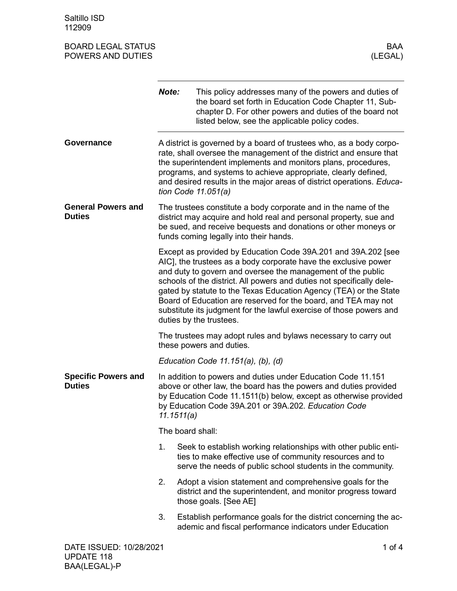Saltillo ISD 112909

| <b>BOARD LEGAL STATUS</b><br>POWERS AND DUTIES |                                                                                                                                                                                                                                                                                                                                                                                                                                                                                                                   | BAA<br>(LEGAL)                                                                                                                                                                                                                                                                                                                                                                 |  |
|------------------------------------------------|-------------------------------------------------------------------------------------------------------------------------------------------------------------------------------------------------------------------------------------------------------------------------------------------------------------------------------------------------------------------------------------------------------------------------------------------------------------------------------------------------------------------|--------------------------------------------------------------------------------------------------------------------------------------------------------------------------------------------------------------------------------------------------------------------------------------------------------------------------------------------------------------------------------|--|
|                                                | Note:                                                                                                                                                                                                                                                                                                                                                                                                                                                                                                             | This policy addresses many of the powers and duties of<br>the board set forth in Education Code Chapter 11, Sub-<br>chapter D. For other powers and duties of the board not<br>listed below, see the applicable policy codes.                                                                                                                                                  |  |
| Governance                                     |                                                                                                                                                                                                                                                                                                                                                                                                                                                                                                                   | A district is governed by a board of trustees who, as a body corpo-<br>rate, shall oversee the management of the district and ensure that<br>the superintendent implements and monitors plans, procedures,<br>programs, and systems to achieve appropriate, clearly defined,<br>and desired results in the major areas of district operations. Educa-<br>tion Code $11.051(a)$ |  |
| <b>General Powers and</b><br><b>Duties</b>     |                                                                                                                                                                                                                                                                                                                                                                                                                                                                                                                   | The trustees constitute a body corporate and in the name of the<br>district may acquire and hold real and personal property, sue and<br>be sued, and receive bequests and donations or other moneys or<br>funds coming legally into their hands.                                                                                                                               |  |
|                                                | Except as provided by Education Code 39A.201 and 39A.202 [see<br>AIC], the trustees as a body corporate have the exclusive power<br>and duty to govern and oversee the management of the public<br>schools of the district. All powers and duties not specifically dele-<br>gated by statute to the Texas Education Agency (TEA) or the State<br>Board of Education are reserved for the board, and TEA may not<br>substitute its judgment for the lawful exercise of those powers and<br>duties by the trustees. |                                                                                                                                                                                                                                                                                                                                                                                |  |
|                                                |                                                                                                                                                                                                                                                                                                                                                                                                                                                                                                                   | The trustees may adopt rules and bylaws necessary to carry out<br>these powers and duties.                                                                                                                                                                                                                                                                                     |  |
|                                                |                                                                                                                                                                                                                                                                                                                                                                                                                                                                                                                   | Education Code $11.151(a)$ , (b), (d)                                                                                                                                                                                                                                                                                                                                          |  |
| <b>Specific Powers and</b><br><b>Duties</b>    | In addition to powers and duties under Education Code 11.151<br>above or other law, the board has the powers and duties provided<br>by Education Code 11.1511(b) below, except as otherwise provided<br>by Education Code 39A.201 or 39A.202. Education Code<br>11.1511(a)                                                                                                                                                                                                                                        |                                                                                                                                                                                                                                                                                                                                                                                |  |
|                                                | The board shall:                                                                                                                                                                                                                                                                                                                                                                                                                                                                                                  |                                                                                                                                                                                                                                                                                                                                                                                |  |
|                                                | 1.                                                                                                                                                                                                                                                                                                                                                                                                                                                                                                                | Seek to establish working relationships with other public enti-<br>ties to make effective use of community resources and to<br>serve the needs of public school students in the community.                                                                                                                                                                                     |  |
|                                                | 2.                                                                                                                                                                                                                                                                                                                                                                                                                                                                                                                | Adopt a vision statement and comprehensive goals for the<br>district and the superintendent, and monitor progress toward<br>those goals. [See AE]                                                                                                                                                                                                                              |  |
|                                                | 3.                                                                                                                                                                                                                                                                                                                                                                                                                                                                                                                | Establish performance goals for the district concerning the ac-<br>ademic and fiscal performance indicators under Education                                                                                                                                                                                                                                                    |  |
| DATE ISSUED: 10/28/2021                        |                                                                                                                                                                                                                                                                                                                                                                                                                                                                                                                   | 1 of $4$                                                                                                                                                                                                                                                                                                                                                                       |  |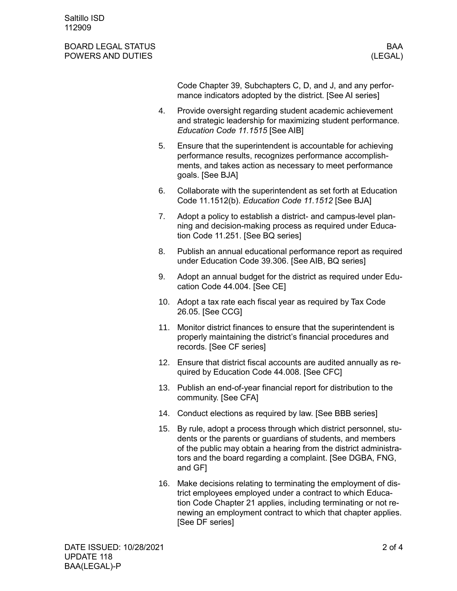## BOARD LEGAL STATUS BAA POWERS AND DUTIES (LEGAL)

Code Chapter 39, Subchapters C, D, and J, and any performance indicators adopted by the district. [See AI series]

- 4. Provide oversight regarding student academic achievement and strategic leadership for maximizing student performance. *Education Code 11.1515* [See AIB]
- 5. Ensure that the superintendent is accountable for achieving performance results, recognizes performance accomplishments, and takes action as necessary to meet performance goals. [See BJA]
- 6. Collaborate with the superintendent as set forth at Education Code 11.1512(b). *Education Code 11.1512* [See BJA]
- 7. Adopt a policy to establish a district- and campus-level planning and decision-making process as required under Education Code 11.251. [See BQ series]
- 8. Publish an annual educational performance report as required under Education Code 39.306. [See AIB, BQ series]
- 9. Adopt an annual budget for the district as required under Education Code 44.004. [See CE]
- 10. Adopt a tax rate each fiscal year as required by Tax Code 26.05. [See CCG]
- 11. Monitor district finances to ensure that the superintendent is properly maintaining the district's financial procedures and records. [See CF series]
- 12. Ensure that district fiscal accounts are audited annually as required by Education Code 44.008. [See CFC]
- 13. Publish an end-of-year financial report for distribution to the community. [See CFA]
- 14. Conduct elections as required by law. [See BBB series]
- 15. By rule, adopt a process through which district personnel, students or the parents or guardians of students, and members of the public may obtain a hearing from the district administrators and the board regarding a complaint. [See DGBA, FNG, and GF]
- 16. Make decisions relating to terminating the employment of district employees employed under a contract to which Education Code Chapter 21 applies, including terminating or not renewing an employment contract to which that chapter applies. [See DF series]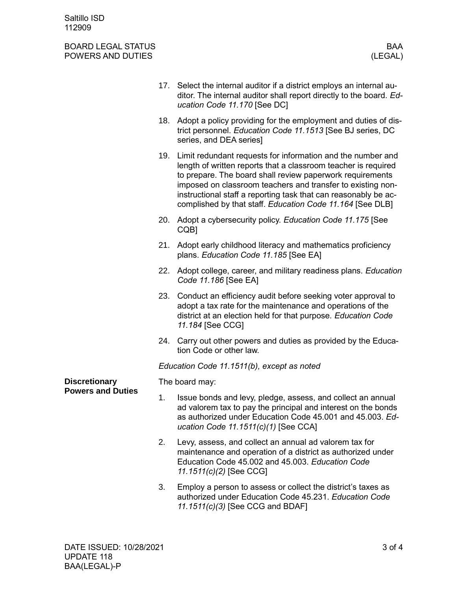Saltillo ISD 112909

## BOARD LEGAL STATUS BOARD LEGAL STATUS BAA<br>POWERS AND DUTIES (LEGAL) POWERS AND DUTIES

|                                                  |                | 17. Select the internal auditor if a district employs an internal au-<br>ditor. The internal auditor shall report directly to the board. Ed-<br>ucation Code 11.170 [See DC]                                                                                                                                                                                                                  |  |
|--------------------------------------------------|----------------|-----------------------------------------------------------------------------------------------------------------------------------------------------------------------------------------------------------------------------------------------------------------------------------------------------------------------------------------------------------------------------------------------|--|
|                                                  |                | 18. Adopt a policy providing for the employment and duties of dis-<br>trict personnel. Education Code 11.1513 [See BJ series, DC<br>series, and DEA series]                                                                                                                                                                                                                                   |  |
|                                                  |                | 19. Limit redundant requests for information and the number and<br>length of written reports that a classroom teacher is required<br>to prepare. The board shall review paperwork requirements<br>imposed on classroom teachers and transfer to existing non-<br>instructional staff a reporting task that can reasonably be ac-<br>complished by that staff. Education Code 11.164 [See DLB] |  |
|                                                  |                | 20. Adopt a cybersecurity policy. Education Code 11.175 [See<br>CQB <sub>1</sub>                                                                                                                                                                                                                                                                                                              |  |
|                                                  | 21.            | Adopt early childhood literacy and mathematics proficiency<br>plans. Education Code 11.185 [See EA]                                                                                                                                                                                                                                                                                           |  |
|                                                  | 22.            | Adopt college, career, and military readiness plans. Education<br>Code 11.186 [See EA]                                                                                                                                                                                                                                                                                                        |  |
|                                                  |                | 23. Conduct an efficiency audit before seeking voter approval to<br>adopt a tax rate for the maintenance and operations of the<br>district at an election held for that purpose. Education Code<br>11.184 [See CCG]                                                                                                                                                                           |  |
|                                                  |                | 24. Carry out other powers and duties as provided by the Educa-<br>tion Code or other law.                                                                                                                                                                                                                                                                                                    |  |
|                                                  |                | Education Code 11.1511(b), except as noted                                                                                                                                                                                                                                                                                                                                                    |  |
| <b>Discretionary</b><br><b>Powers and Duties</b> | The board may: |                                                                                                                                                                                                                                                                                                                                                                                               |  |
|                                                  | 1.             | Issue bonds and levy, pledge, assess, and collect an annual<br>ad valorem tax to pay the principal and interest on the bonds<br>as authorized under Education Code 45.001 and 45.003. Ed-<br>ucation Code 11.1511(c)(1) [See CCA]                                                                                                                                                             |  |
|                                                  | 2.             | Levy, assess, and collect an annual ad valorem tax for<br>maintenance and operation of a district as authorized under<br>Education Code 45.002 and 45.003. Education Code<br>11.1511(c)(2) [See CCG]                                                                                                                                                                                          |  |
|                                                  | 3.             | Employ a person to assess or collect the district's taxes as<br>authorized under Education Code 45.231. Education Code<br>11.1511(c)(3) [See CCG and BDAF]                                                                                                                                                                                                                                    |  |